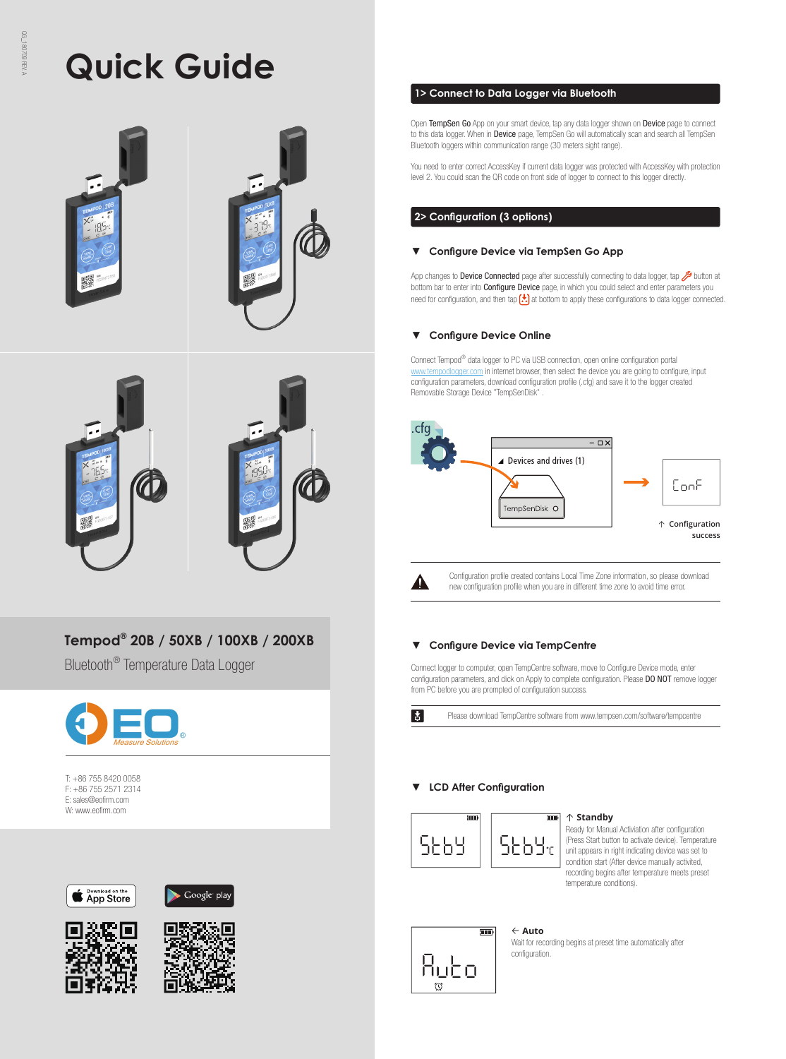# **Quick Guide**





# **Tempod® 20B / 50XB / 100XB / 200XB**

Bluetooth® Temperature Data Logger



T: +86 755 8420 0058 F: +86 755 2571 2314 E: sales@eofirm.com W: www.eofirm.com









# **1> Connect to Data Logger via Bluetooth**

Open TempSen Go App on your smart device, tap any data logger shown on Device page to connect to this data logger. When in Device page, TempSen Go will automatically scan and search all TempSen Bluetooth loggers within communication range (30 meters sight range).

You need to enter correct AccessKey if current data logger was protected with AccessKey with protection level 2. You could scan the QR code on front side of logger to connect to this logger directly.

# **2> Configuration (3 options)**

# **▼ Configure Device via TempSen Go App**

App changes to Device Connected page after successfully connecting to data logger, tap 2 button at bottom bar to enter into Configure Device page, in which you could select and enter parameters you need for configuration, and then tap  $\left(\frac{1}{2}\right)$  at bottom to apply these configurations to data logger connected.

# **▼ Configure Device Online**

Connect Tempod® data logger to PC via USB connection, open online configuration portal w.tempodlogger.com in internet browser, then select the device you are going to configure, input configuration parameters, download configuration profile (.cfg) and save it to the logger created Removable Storage Device "TempSenDisk" .



А

 $\vert \cdot \vert$ 

Configuration profile created contains Local Time Zone information, so please download new configuration profile when you are in different time zone to avoid time error.

# **▼ Configure Device via TempCentre**

Connect logger to computer, open TempCentre software, move to Configure Device mode, enter configuration parameters, and click on Apply to complete configuration. Please DO NOT remove logger from PC before you are prompted of configuration success.

Please download TempCentre software from www.tempsen.com/software/tempcentre

# **▼ LCD After Configuration**



#### ↑ **Standby**

Ready for Manual Activiation after configuration (Press Start button to activate device). Temperature unit appears in right indicating device was set to condition start (After device manually activited, recording begins after temperature meets preset temperature conditions).



# ← **Auto**

Wait for recording begins at preset time automatically after configuration.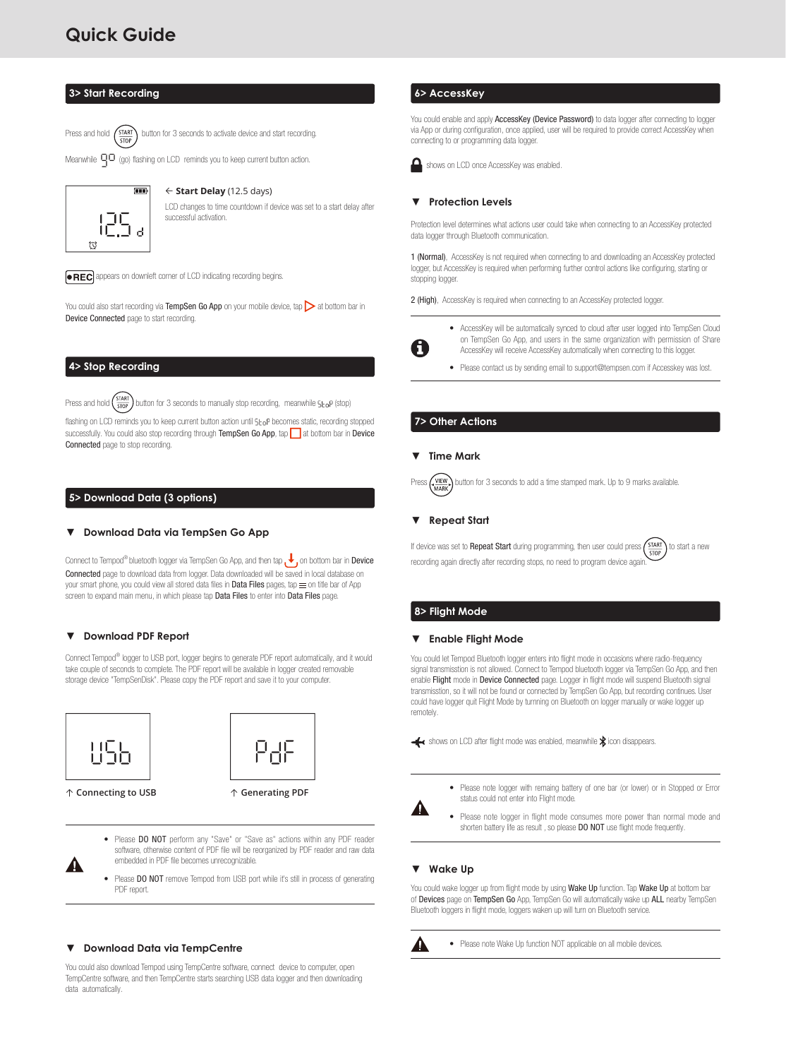# **Quick Guide**

## **3> Start Recording**

Press and hold  $\binom{\text{START}}{\text{Button}}$  button for 3 seconds to activate device and start recording.

Meanwhile  $\Box$  (go) flashing on LCD reminds you to keep current button action.



#### ← **Start Delay** (12.5 days)

LCD changes to time countdown if device was set to a start delay after successful activation.

**. REC** appears on downleft corner of LCD indicating recording begins.

You could also start recording via TempSen Go App on your mobile device, tap  $\triangleright$  at bottom bar in Device Connected page to start recording.

## **4> Stop Recording**

Press and hold  $\left(\frac{\text{star}}{\text{stop}}\right)$  button for 3 seconds to manually stop recording, meanwhile  $5 \text{L}_0$ P (stop)

flashing on LCD reminds you to keep current button action until 5toP becomes static, recording stopped successfully. You could also stop recording through TempSen Go App, tap at bottom bar in Device Connected page to stop recording.

# **5> Download Data (3 options)**

# **▼ Download Data via TempSen Go App**

Connect to Tempod<sup>®</sup> bluetooth logger via TempSen Go App, and then tap  $\bigvee$  on bottom bar in Device Connected page to download data from logger. Data downloaded will be saved in local database on your smart phone, you could view all stored data files in Data Files pages, tap  $\equiv$  on title bar of App screen to expand main menu, in which please tap Data Files to enter into Data Files page.

# **▼ Download PDF Report**

Connect Tempod<sup>®</sup> logger to USB port, logger begins to generate PDF report automatically, and it would take couple of seconds to complete. The PDF report will be available in logger created removable storage device "TempSenDisk". Please copy the PDF report and save it to your computer.





↑ **Connecting to USB** ↑ **Generating PDF** 

- Please DO NOT perform any "Save" or "Save as" actions within any PDF reader software, otherwise content of PDF file will be reorganized by PDF reader and raw data embedded in PDF file becomes unrecognizable.
- Please DO NOT remove Tempod from USB port while it's still in process of generating PDF report.

# **▼ Download Data via TempCentre**

You could also download Tempod using TempCentre software, connect device to computer, open TempCentre software, and then TempCentre starts searching USB data logger and then downloading data automatically.

## **6> AccessKey**

You could enable and apply AccessKey (Device Password) to data logger after connecting to logger via App or during configuration, once applied, user will be required to provide correct AccessKey when connecting to or programming data logger.



#### **▼ Protection Levels**

Protection level determines what actions user could take when connecting to an AccessKey protected data logger through Bluetooth communication.

1 (Normal), AccessKey is not required when connecting to and downloading an AccessKey protected logger, but AccessKey is required when performing further control actions like configuring, starting or stopping logger.

2 (High), AccessKey is required when connecting to an AccessKey protected logger.



• AccessKey will be automatically synced to cloud after user logged into TempSen Cloud on TempSen Go App, and users in the same organization with permission of Share AccessKey will receive AccessKey automatically when connecting to this logger.

• Please contact us by sending email to support@tempsen.com if Accesskey was lost.

# **7> Other Actions**

# **▼ Time Mark**

 $\frac{VIEW}{MARK}$  button for 3 seconds to add a time stamped mark. Up to 9 marks available.

#### **▼ Repeat Start**

If device was set to Repeat Start during programming, then user could press  $\left(\frac{START}{STOP}\right)$  to start a new recording again directly after recording stops, no need to program device again

# **8> Flight Mode**

#### **▼ Enable Flight Mode**

You could let Tempod Bluetooth logger enters into flight mode in occasions where radio-frequency signal transmisstion is not allowed. Connect to Tempod bluetooth logger via TempSen Go App, and then enable Flight mode in Device Connected page. Logger in flight mode will suspend Bluetooth signal transmisstion, so it will not be found or connected by TempSen Go App, but recording continues. User could have logger quit Flight Mode by turnning on Bluetooth on logger manually or wake logger up remotely.

shows on LCD after flight mode was enabled, meanwhile  $\hat{\mathbf{x}}$  icon disappears.

- Please note logger with remaing battery of one bar (or lower) or in Stopped or Error status could not enter into Flight mode.
	- Please note logger in flight mode consumes more power than normal mode and shorten battery life as result, so please DO NOT use flight mode frequently.

#### **▼ Wake Up**

You could wake logger up from flight mode by using Wake Up function. Tap Wake Up at bottom bar of Devices page on TempSen Go App, TempSen Go will automatically wake up ALL nearby TempSen Bluetooth loggers in flight mode, loggers waken up will turn on Bluetooth service.



Α

• Please note Wake Up function NOT applicable on all mobile devices.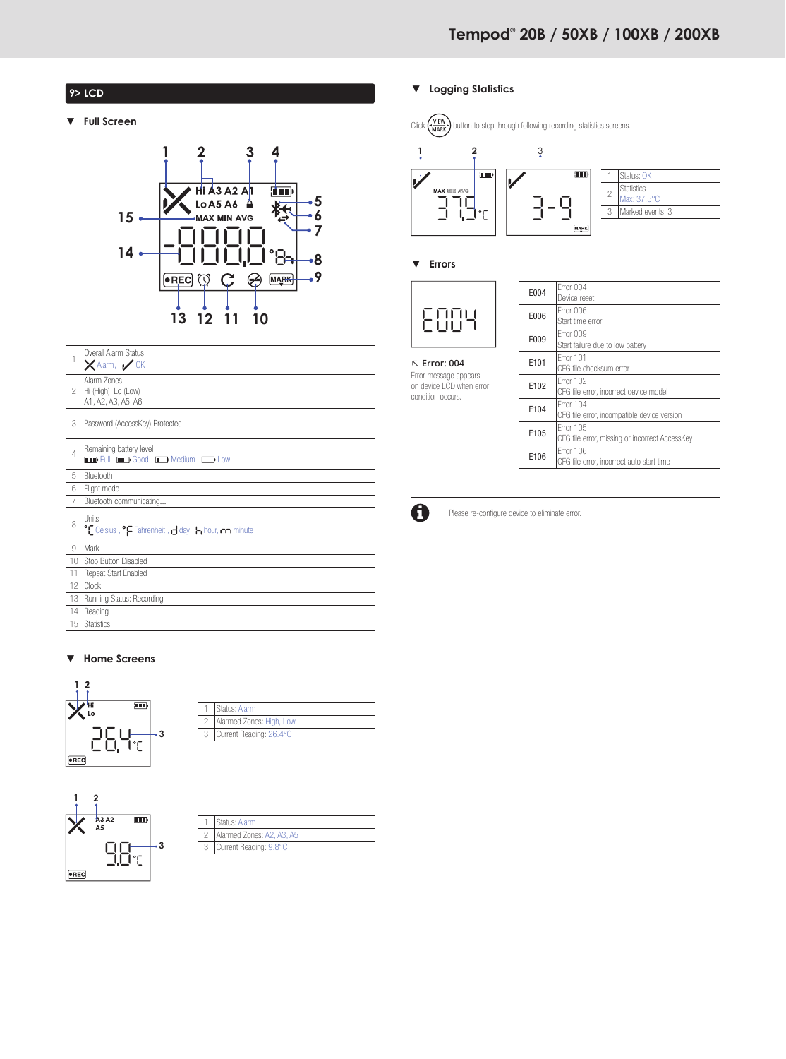# **9> LCD**

**▼ Full Screen**



|                | Overall Alarm Status<br>$\times$ Alarm, $\times$ OK                                   |
|----------------|---------------------------------------------------------------------------------------|
| 2              | Alarm Zones<br>Hi (High), Lo (Low)<br>A1, A2, A3, A5, A6                              |
| 3              | Password (AccessKey) Protected                                                        |
| $\overline{4}$ | Remaining battery level<br><b>THE Full THE Good THE Medium ED Low</b>                 |
| 5              | Bluetooth                                                                             |
| 6              | Flight mode                                                                           |
| 7              | Bluetooth communicating                                                               |
| 8              | <b>Units</b><br>Celsius, <sup>o</sup> Fahrenheit, day, I <sub>n</sub> hour, nm minute |
| 9              | Mark                                                                                  |
| 10             | Stop Button Disabled                                                                  |
| 11             | Repeat Start Enabled                                                                  |
| 12             | Clock                                                                                 |
| 13             | Running Status: Recording                                                             |
| 14             | Reading                                                                               |
| 15             | <b>Statistics</b>                                                                     |

# **▼ Home Screens**



| Status: Alarm                |
|------------------------------|
| 2   Alarmed Zones: High, Low |
| Current Reading: 26.4°C      |
|                              |



| Status: Alarm             |
|---------------------------|
| Alarmed Zones: A2, A3, A5 |
| Current Reading: 9.8°C    |

# **▼ Logging Statistics**





# **▼ Errors**

condition occurs.



↖ **Error: 004** Error message appears on device LCD when error

| F004 | Frror 004                                      |
|------|------------------------------------------------|
|      | Device reset                                   |
| E006 | Frror 006                                      |
|      | Start time error                               |
| E009 | Frror 009                                      |
|      | Start failure due to low battery               |
| F101 | Frror 101                                      |
|      | CFG file checksum error                        |
| E102 | Frror 102                                      |
|      | CFG file error, incorrect device model         |
| F104 | Frror 104                                      |
|      | CFG file error, incompatible device version    |
| E105 | Frror 105                                      |
|      | CFG file error, missing or incorrect AccessKev |
| E106 | Frror 106                                      |
|      | CFG file error, incorrect auto start time      |



Please re-configure device to eliminate error.